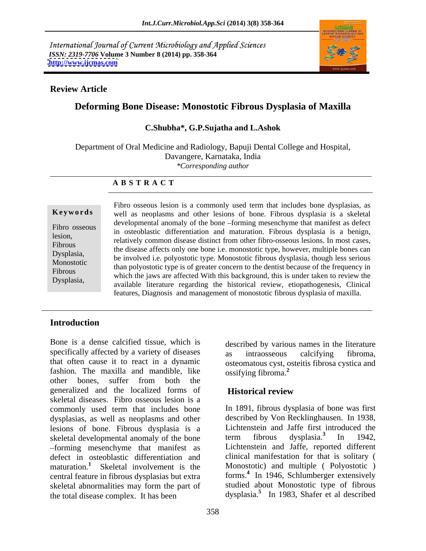International Journal of Current Microbiology and Applied Sciences *ISSN: 2319-7706* **Volume 3 Number 8 (2014) pp. 358-364 <http://www.ijcmas.com>**



### **Review Article**

# **Deforming Bone Disease: Monostotic Fibrous Dysplasia of Maxilla**

### **C.Shubha\*, G.P.Sujatha and L.Ashok**

Department of Oral Medicine and Radiology, Bapuji Dental College and Hospital, Davangere, Karnataka, India *\*Corresponding author* 

### **A B S T R A C T**

**Keywords** well as neoplasms and other lesions of bone. Fibrous dysplasia is a skeletal Fibro osseous<br>in osteoblastic differentiation and maturation. Fibrous dysplasia is a benign, lesion, relatively common disease distinct from other fibro-osseous lesions. In most cases, Fibrous<br>the disease affects only one bone i.e. monostotic type, however, multiple bones can Dysplasia,<br>
be involved i.e. polyostotic type. Monostotic fibrous dysplasia, though less serious<br>
Designed i.e. polyostotic type. Monostotic fibrous dysplasia, though less serious Monostotic be involved i.e. polyostotic type. Monostotic fibrous dysplasia, though less serious than polyostotic type is of greater concern to the dentist because of the frequency in Fibrous<br>which the jaws are affected With this background, this is under taken to review the Dysplasia,<br>
available literature regarding the historical review, etiopathogenesis, Clinical Fibro osseous lesion is a commonly used term that includes bone dysplasias, as developmental anomaly of the bone -forming mesenchyme that manifest as defect features, Diagnosis and management of monostotic fibrous dysplasia of maxilla.

# **Introduction**

Bone is a dense calcified tissue, which is described by various names in the literature specifically affected by a variety of diseases as intraosseous calcifying fibroma, that often cause it to react in a dynamic osteomatous cyst, osteitis fibrosa cystica and fashion. The maxilla and mandible, like ossifying fibroma.<sup>2</sup> other bones, suffer from both the generalized and the localized forms of skeletal diseases. Fibro osseous lesion is a commonly used term that includes bone dysplasias, as well as neoplasms and other lesions of bone. Fibrous dysplasia is a Lichtenstein and Jaffe first introduced the skeletal developmental anomaly of the bone term fibrous dysplasia.<sup>3</sup> In 1942, skeletal developmental anomaly of the bone forming mesenchyme that manifest as defect in osteoblastic differentiation and maturation.**<sup>1</sup>** Skeletal involvement is the central feature in fibrous dysplasias but extra skeletal abnormalities may form the part of the total disease complex. It has been dysplasia.**<sup>5</sup>** In 1983, Shafer et al described

as intraosseous calcifying fibroma, ossifying fibroma.**<sup>2</sup>**

# **Historical review**

In 1891, fibrous dysplasia of bone was first described by Von Recklinghausen. In 1938, Lichtenstein and Jaffe first introduced the term fibrous dysplasia.**<sup>3</sup>**In 1942, Lichtenstein and Jaffe, reported different clinical manifestation for that is solitary ( Monostotic) and multiple ( Polyostotic ) forms.**<sup>4</sup>** In 1946, Schlumberger extensively studied about Monostotic type of fibrous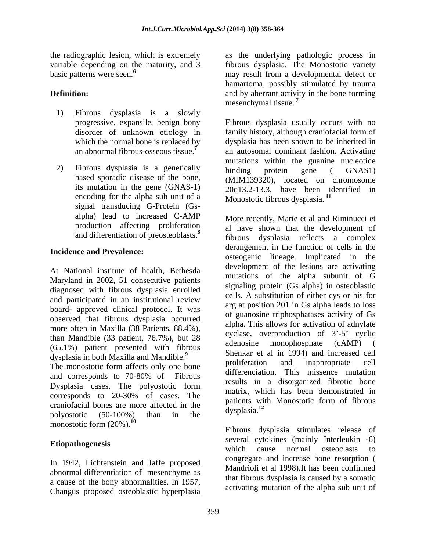- 1) Fibrous dysplasia is a slowly
- encoding for the alpha sub unit of a signal transducing G-Protein (Gs and differentiation of preosteoblasts.**<sup>8</sup>**

# **Incidence and Prevalence:**

At National institute of health, Bethesda Maryland in 2002, 51 consecutive patients diagnosed with fibrous dysplasia enrolled and participated in an institutional review board- approved clinical protocol. It was observed that fibrous dysplasia occurred more often in Maxilla (38 Patients, 88.4%), than Mandible (33 patient, 76.7%), but 28  $\frac{\text{cyclic}}{\text{adenosine}}$  coverproduction of 3-5 cyclic denosine monophosphate (cAMP) ( (65.1%) patient presented with fibrous

The monostotic form affects only one bone Dysplasia cases. The polyostotic form corresponds to 20-30% of cases. The craniofacial bones are more affected in the  $\frac{\text{parameters}}{\text{dysplasia}}$  dysplasia.<sup>12</sup> polyostotic  $(50-100\%)$  than in the  $\alpha$  dysplasia. monostotic form (20%).**<sup>10</sup>**

In 1942, Lichtenstein and Jaffe proposed abnormal differentiation of mesenchyme as a cause of the bony abnormalities. In 1957, Changus proposed osteoblastic hyperplasia

the radiographic lesion, which is extremely as the underlying pathologic process in variable depending on the maturity, and 3 fibrous dysplasia. The Monostotic variety basic patterns were seen.<sup>6</sup> may result from a developmental defect or **Definition:** and by aberrant activity in the bone forming hamartoma, possibly stimulated by trauma mesenchymal tissue.<sup>7</sup>

progressive, expansile, benign bony Fibrous dysplasia usually occurs with no disorder of unknown etiology in family history, although craniofacial form of which the normal bone is replaced by dysplasia has been shown to be inherited in an abnormal fibrous-osseous tissue.**<sup>7</sup>** an autosomal dominant fashion. Activating 2) Fibrous dysplasia is a genetically binding protein gene (GNAS1) based sporadic disease of the bone, (MIM139320), located on chromosome its mutation in the gene  $(GNAS-1)$   $20q13.2-13.3$ , have been identified in mutations within the guanine nucleotide binding protein gene ( GNAS1) Monostotic fibrous dysplasia. **<sup>11</sup>**

alpha) lead to increased C-AMP More recently, Marie et al and Riminucci et production affecting proliferation al have shown that the development of dysplasia in both Maxilla and Mandible.<sup>9</sup><br>The magnetic fame offerts calculated a have proliferation and inappropriate cell and corresponds to 70-80% of Fibrous and the same in a discoveried fibration have dysplasia reflects a complex derangement in the function of cells in the osteogenic lineage. Implicated in the development of the lesions are activating mutations of the alpha subunit of G signaling protein (Gs alpha) in osteoblastic cells. A substitution of either cys or his for arg at position 201 in Gs alpha leads to loss of guanosine triphosphatases activity of Gs alpha. This allows for activation of adnylate cyclase, overproduction of  $3'-5'$  cyclic adenosine monophosphate (cAMP) ( Shenkar et al in 1994) and increased cell proliferation and inappropriate cell differenciation. This missence mutation results in a disorganized fibrotic bone matrix, which has been demonstrated in patients with Monostotic form of fibrous dysplasia.**<sup>12</sup>**

Etiopathogenesis several cytokines (manny interference to Fibrous dysplasia stimulates release of several cytokines (mainly Interleukin -6) which cause normal osteoclasts to congregate and increase bone resorption ( Mandrioli et al 1998).It has been confirmed that fibrous dysplasia is caused by a somatic activating mutation of the alpha sub unit of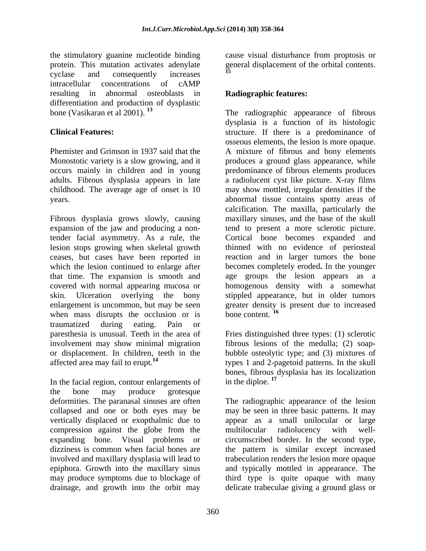the stimulatory guanine nucleotide binding cause visual disturbance from proptosis or protein. This mutation activates adenylate general displacement of the orbital contents.<br>
<sup>15</sup> cyclase and consequently increases and  $\blacksquare$ intracellular concentrations of cAMP resulting in abnormal osteoblasts in **Radiographic features:** differentiation and production of dysplastic<br>bone (Vasikaran et al  $2001$ ).<sup>13</sup> bone (Vasikaran et al 2001). **<sup>13</sup>** The radiographic appearance of fibrous

Fibrous dysplasia grows slowly, causing expansion of the jaw and producing a nontender facial asymmetry. As a rule, the Cortical bone becomes expanded and lesion stops growing when skeletal growth thinned with no evidence of periosteal ceases, but cases have been reported in reaction and in larger tumors the bone which the lesion continued to enlarge after becomes completely eroded**.** In the younger that time. The expansion is smooth and covered with normal appearing mucosa or homogenous density with a somewhat skin. Ulceration overlying the bony stippled appearance, but in older tumors enlargement is uncommon, but may be seen greater density is present due to increased when mass disrupts the occlusion or is bone content.<sup>16</sup> traumatized during eating. Pain or paresthesia is unusual. Teeth in the area of Fries distinguished three types: (1) sclerotic involvement may show minimal migration fibrous lesions of the medulla; (2) soap or displacement. In children, teeth in the bubble osteolytic type; and (3) mixtures of

In the facial region, contour enlargements of  $\qquad$  in the diploe.<sup>17</sup> the bone may produce grotesque deformities. The paranasal sinuses are often The radiographic appearance of the lesion collapsed and one or both eyes may be may be seen in three basic patterns. It may vertically displaced or exopthalmic due to appear as a small unilocular or large compression against the globe from the multilocular radiolucency with wellexpanding bone. Visual problems or circumscribed border. In the second type, dizziness is common when facial bones are the pattern is similar except increased involved and maxillary dysplasia will lead to trabeculation renders the lesion more opaque epiphora. Growth into the maxillary sinus and typically mottled in appearance. The may produce symptoms due to blockage of third type is quite opaque with many

## **Radiographic features:**

**Clinical Features:** structure. If there is a predominance of Phemister and Grimson in 1937 said that the A mixture of fibrous and bony elements Monostotic variety is a slow growing, and it produces a ground glass appearance, while occurs mainly in children and in young predominance of fibrous elements produces adults. Fibrous dysplasia appears in late a radiolucent cyst like picture. X-ray films childhood. The average age of onset is 10 may show mottled, irregular densities if the years. abnormal tissue contains spotty areas of dysplasia is a function of its histologic osseous elements, the lesion is more opaque. calcification. The maxilla, particularly the maxillary sinuses, and the base of the skull tend to present a more sclerotic picture. age groups the lesion appears as a bone content.<sup>16</sup>

affected area may fail to erupt.**<sup>14</sup>** types 1 and 2-pagetoid patterns. In the skull bones, fibrous dysplasia has its localization in the diploe.<sup>17</sup>

drainage, and growth into the orbit may delicate trabeculae giving a ground glass ormultilocular radiolucency with well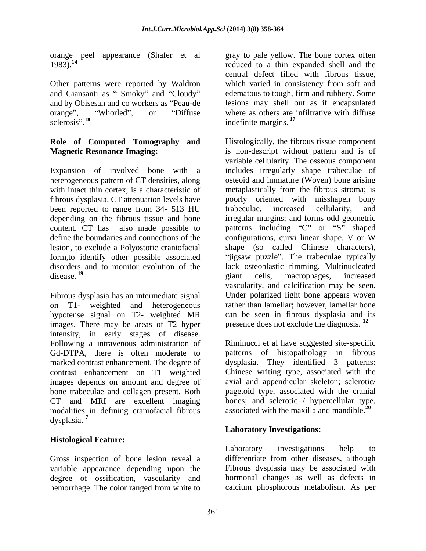orange peel appearance (Shafer et al 1983).<sup>14</sup>

Other patterns were reported by Waldron sclerosis".<sup>18</sup> indefinite margins.<sup>17</sup>

heterogeneous pattern of CT densities, along been reported to range from 34- 513 HU trabeculae, increased cellularity, and define the boundaries and connections of the configurations, curvi linear shape, V or W

Fibrous dysplasia has an intermediate signal hypotense signal on T2- weighted MR images. There may be areas of T2 hyper intensity, in early stages of disease. Following a intravenous administration of Riminucci et al have suggested site-specific Gd-DTPA, there is often moderate to patterns of histopathology in fibrous marked contrast enhancement. The degree of dysplasia. They identified 3 patterns: contrast enhancement on T1 weighted Chinese writing type, associated with the images depends on amount and degree of bone trabeculae and collagen present. Both CT and MRI are excellent imaging bones; and sclerotic / hypercellular type, modalities in defining craniofacial fibrous dysplasia. **<sup>7</sup>**

# **Histological Feature:**

Gross inspection of bone lesion reveal a variable appearance depending upon the degree of ossification, vascularity and hemorrhage. The color ranged from white to

1983).**<sup>14</sup>** reduced to a thin expanded shell and the and Giansanti as "Smoky" and "Cloudy" edematous to tough, firm and rubbery. Some and by Obisesan and co workers as "Peau-de lesions may shell out as if encapsulated orange", "Whorled", or "Diffuse where as others are infiltrative with diffuse gray to pale yellow. The bone cortex often central defect filled with fibrous tissue, which varied in consistency from soft and indefinite margins.**<sup>17</sup>**

**Role of Computed Tomography and** Histologically, the fibrous tissue component **Magnetic Resonance Imaging:** is non-descript without pattern and is of Expansion of involved bone with a includes irregularly shape trabeculae of with intact thin cortex, is a characteristic of metaplastically from the fibrous stroma; is fibrous dysplasia. CT attenuation levels have poorly oriented with misshapen bony depending on the fibrous tissue and bone irregular margins; and forms odd geometric content. CT has also made possible to patterns including "C" or "S" shaped lesion, to exclude a Polyostotic craniofacial shape (so called Chinese characters), form,to identify other possible associated "jigsaw puzzle". The trabeculae typically disorders and to monitor evolution of the lack osteoblastic rimming. Multinucleated disease.<sup>19</sup> eine giant cells, macrophages, increased on T1- weighted and heterogeneous rather than lamellar; however, lamellar bone variable cellularity. The osseous component osteoid and immature (Woven) bone arising trabeculae, increased cellularity, and configurations, curvi linear shape, V or W giant cells, macrophages, increased vascularity, and calcification may be seen. Under polarized light bone appears woven can be seen in fibrous dysplasia and its presence does not exclude the diagnosis. **<sup>12</sup>**

> axial and appendicular skeleton; sclerotic/ pagetoid type, associated with the cranial associated with the maxilla and mandible.**<sup>20</sup>**

### **Laboratory Investigations:**

Laboratory investigations help to differentiate from other diseases, although Fibrous dysplasia may be associated with hormonal changes as well as defects in calcium phosphorous metabolism. As per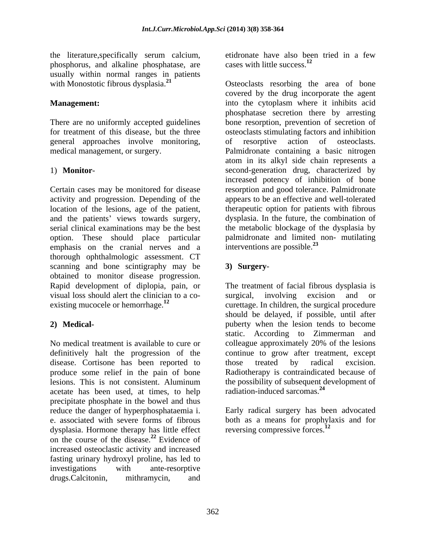the literature, specifically serum calcium, etidronate have also been<br>phosphorus, and alkaline phosphatase, are cases with little success.<sup>12</sup> phosphorus, and alkaline phosphatase, are usually within normal ranges in patients with Monostotic fibrous dysplasia.<sup>21</sup> Osteoclasts resorbing the area of bone

general approaches involve monitoring,

Certain cases may be monitored for disease location of the lesions, age of the patient, and the patients' views towards surgery, serial clinical examinations may be the best emphasis on the cranial nerves and a thorough ophthalmologic assessment. CT scanning and bone scintigraphy may be 3) Surgeryobtained to monitor disease progression. visual loss should alert the clinician to a co-<br>surgical, involving excision and or

No medical treatment is available to cure or colleague approximately 20% of the lesions definitively halt the progression of the disease. Cortisone has been reported to those treated by radical excision. acetate has been used, at times, to help radiation-induced sarcomas.<sup>24</sup> precipitate phosphate in the bowel and thus reduce the danger of hyperphosphataemia i. Early radical surgery has been advocated e. associated with severe forms of fibrous both as a means for prophylaxis and for dysplasia. Hormone therapy has little effect on the course of the disease.**<sup>22</sup>** Evidence of increased osteoclastic activity and increased fasting urinary hydroxyl proline, has led to investigations with ante-resorptive drugs.Calcitonin, mithramycin, and

etidronate have also been tried in a few cases with little success.**<sup>12</sup>**

**Management:** The state of the cytoplasm where it inhibits acid There are no uniformly accepted guidelines bone resorption, prevention of secretion of for treatment of this disease, but the three osteoclasts stimulating factors and inhibition medical management, or surgery. Palmidronate containing a basic nitrogen 1) **Monitor**- second-generation drug, characterized by activity and progression. Depending of the appears to be an effective and well-tolerated option. These should place particular palmidronate and limited non- mutilating covered by the drug incorporate the agent phosphatase secretion there by arresting of resorptive action of osteoclasts. atom in its alkyl side chain represents a increased potency of inhibition of bone resorption and good tolerance. Palmidronate therapeutic option for patients with fibrous dysplasia. In the future, the combination of the metabolic blockage of the dysplasia by interventions are possible.**<sup>23</sup>**

# **3) Surgery**-

Rapid development of diplopia, pain, or The treatment of facial fibrous dysplasia is existing mucocele or hemorrhage.<sup>12</sup> curettage. In children, the surgical procedure **2) Medical-** puberty when the lesion tends to become produce some relief in the pain of bone Radiotherapy is contraindicated because of lesions. This is not consistent. Aluminum the possibility of subsequent development of surgical, involving excision and or should be delayed, if possible, until after static. According to Zimmerman and colleague approximately 20% of the lesions continue to grow after treatment, except those treated by radical excision. radiation-induced sarcomas.**<sup>24</sup>**

reversing compressive forces.**<sup>12</sup>**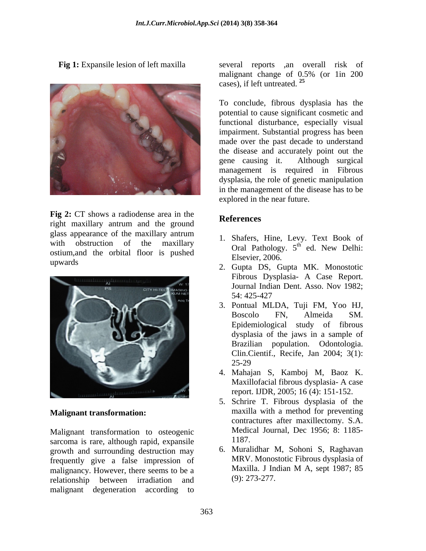

**Fig** 2: CT shows a radiodense area in the<br> **References** right maxillary antrum and the ground glass appearance of the maxillary antrum with obstruction of the maxillary<br>
Oral Pathology.  $5^{\text{th}}$  ed. New Delhi:<br>
Oral Pathology.  $5^{\text{th}}$  ed. New Delhi: ostium,and the orbital floor is pushed



### **Malignant transformation:**

Malignant transformation to osteogenic Medic<br>sarcoma is rare although rapid expansile 1187. sarcoma is rare, although rapid, expansile growth and surrounding destruction may frequently give a false impression of MRV. Monostotic Fibrous dysplasia of malionancy However there seems to be a Maxilla. J Indian M A, sept 1987; 85 malignancy. However, there seems to be a relationship between irradiation and malignant degeneration according to

**Fig 1:** Expansile lesion of left maxilla several reports , an overall risk of malignant change of 0.5% (or 1in 200 cases), if left untreated. **<sup>25</sup>**

> To conclude, fibrous dysplasia has the potential to cause significant cosmetic and functional disturbance, especially visual impairment. Substantial progress has been made over the past decade to understand the disease and accurately point out the gene causing it. Although surgical management is required in Fibrous dysplasia, the role of genetic manipulation in the management of the disease has to be explored in the near future.

# **References**

- 1. Shafers, Hine, Levy. Text Book of  $\theta_{\rm tot}$   $\theta_{\rm MW}$  Dolbis ed. New Delhi: Elsevier, 2006.
- upwards 2. Gupta DS, Gupta MK. Monostotic Fibrous Dysplasia- A Case Report. Journal Indian Dent. Asso. Nov 1982; 54: 425-427
	- 3. Pontual MLDA, Tuji FM, Yoo HJ, Boscolo FN, Almeida SM. Epidemiological study of fibrous dysplasia of the jaws in a sample of Brazilian population. Odontologia. Clin.Cientif., Recife, Jan 2004; 3(1): 25-29
	- 4. Mahajan S, Kamboj M, Baoz K. Maxillofacial fibrous dysplasia- A case report. IJDR, 2005; 16 (4): 151-152.
	- 5. Schrire T. Fibrous dysplasia of the maxilla with a method for preventing contractures after maxillectomy. S.A. Medical Journal, Dec 1956; 8: 1185- 1187.
	- 6. Muralidhar M, Sohoni S, Raghavan MRV. Monostotic Fibrous dysplasia of Maxilla. J Indian M A, sept 1987; 85 (9): 273-277.